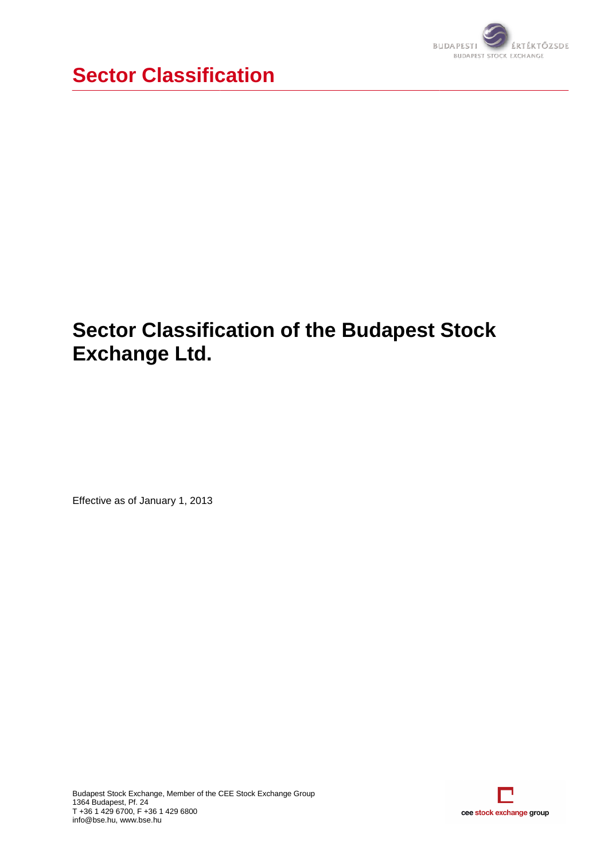

# **Sector Classification of the Budapest Stock Exchange Ltd.**

Effective as of January 1, 2013

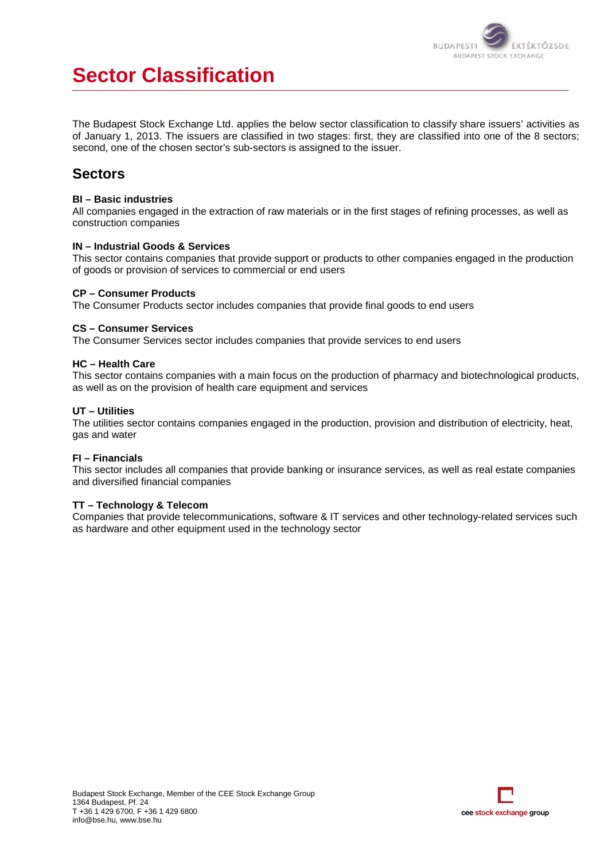

# **Sector Classification**

The Budapest Stock Exchange Ltd. applies the below sector classification to classify share issuers' activities as of January 1, 2013. The issuers are classified in two stages: first, they are classified into one of the 8 sectors; second, one of the chosen sector's sub-sectors is assigned to the issuer.

# **Sectors**

### **BI – Basic industries**

All companies engaged in the extraction of raw materials or in the first stages of refining processes, as well as construction companies

### **IN – Industrial Goods & Services**

This sector contains companies that provide support or products to other companies engaged in the production of goods or provision of services to commercial or end users

### **CP – Consumer Products**

The Consumer Products sector includes companies that p provide final goods to end users

### **CS – Consumer Services**

The Consumer Services sector includes companies that provide services to end users

### **HC – Health Care**

This sector contains companies with a main focus on the production of pharmacy and biotechnological products, as well as on the provision of health care equipment and services it provide final goods to end users<br>
t provide services to end users<br>
e production of pharmacy and biotechnological products<br>
d services<br>
production, provision and distribution of electricity, heat,

### **UT – Utilities**

The utilities sector contains companies engaged in the production, provision and distribution of electricity, heat, gas and water

### **FI – Financials**

This sector includes all companies that provide banking or insurance services, as well as real estate companies and diversified financial companies

### **TT – Technology & Telecom**

Companies that provide telecommunications, software & IT services and other technology-related services such as hardware and other equipment used in the technology sector